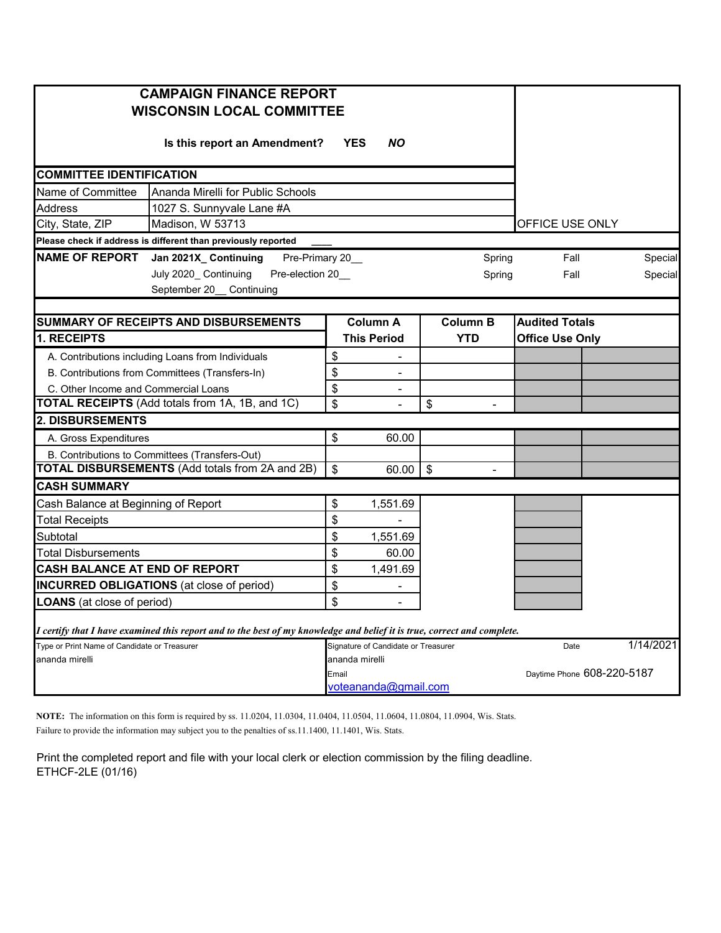| <b>CAMPAIGN FINANCE REPORT</b><br><b>WISCONSIN LOCAL COMMITTEE</b>                                                      |       |                                     |               |                 |                            |           |
|-------------------------------------------------------------------------------------------------------------------------|-------|-------------------------------------|---------------|-----------------|----------------------------|-----------|
| Is this report an Amendment?                                                                                            |       | <b>YES</b><br><b>NO</b>             |               |                 |                            |           |
| <b>COMMITTEE IDENTIFICATION</b>                                                                                         |       |                                     |               |                 |                            |           |
| Name of Committee<br>Ananda Mirelli for Public Schools                                                                  |       |                                     |               |                 |                            |           |
| <b>Address</b><br>1027 S. Sunnyvale Lane #A                                                                             |       |                                     |               |                 |                            |           |
| City, State, ZIP<br>Madison, W 53713                                                                                    |       |                                     |               |                 | OFFICE USE ONLY            |           |
| Please check if address is different than previously reported                                                           |       |                                     |               |                 |                            |           |
| Jan 2021X_Continuing<br>Pre-Primary 20_<br>INAME OF REPORT                                                              |       |                                     |               | Spring          | Fall                       | Special   |
| July 2020_ Continuing<br>Pre-election 20_                                                                               |       |                                     |               | Spring          | Fall                       | Special   |
| September 20_ Continuing                                                                                                |       |                                     |               |                 |                            |           |
|                                                                                                                         |       |                                     |               |                 |                            |           |
| <b>SUMMARY OF RECEIPTS AND DISBURSEMENTS</b>                                                                            |       | <b>Column A</b>                     |               | <b>Column B</b> | <b>Audited Totals</b>      |           |
| 1. RECEIPTS                                                                                                             |       | <b>This Period</b>                  |               | <b>YTD</b>      | <b>Office Use Only</b>     |           |
| A. Contributions including Loans from Individuals                                                                       | \$    | ٠                                   |               |                 |                            |           |
| B. Contributions from Committees (Transfers-In)                                                                         | \$    | ٠                                   |               |                 |                            |           |
| C. Other Income and Commercial Loans                                                                                    | \$    |                                     |               |                 |                            |           |
| TOTAL RECEIPTS (Add totals from 1A, 1B, and 1C)                                                                         | \$    |                                     | \$            |                 |                            |           |
| <b>2. DISBURSEMENTS</b>                                                                                                 |       |                                     |               |                 |                            |           |
| A. Gross Expenditures                                                                                                   | \$    | 60.00                               |               |                 |                            |           |
| B. Contributions to Committees (Transfers-Out)                                                                          |       |                                     |               |                 |                            |           |
| <b>TOTAL DISBURSEMENTS (Add totals from 2A and 2B)</b>                                                                  | \$    | 60.00                               | $\sqrt[6]{3}$ |                 |                            |           |
| <b>CASH SUMMARY</b>                                                                                                     |       |                                     |               |                 |                            |           |
| Cash Balance at Beginning of Report                                                                                     | \$    | 1,551.69                            |               |                 |                            |           |
| <b>Total Receipts</b>                                                                                                   | \$    |                                     |               |                 |                            |           |
| Subtotal                                                                                                                | \$    | 1,551.69                            |               |                 |                            |           |
| <b>Total Disbursements</b>                                                                                              | \$    | 60.00                               |               |                 |                            |           |
| CASH BALANCE AT END OF REPORT                                                                                           | \$    | 1,491.69                            |               |                 |                            |           |
| <b>INCURRED OBLIGATIONS</b> (at close of period)                                                                        | \$    | ٠                                   |               |                 |                            |           |
| <b>LOANS</b> (at close of period)                                                                                       | \$    |                                     |               |                 |                            |           |
| I certify that I have examined this report and to the best of my knowledge and belief it is true, correct and complete. |       |                                     |               |                 |                            |           |
| Type or Print Name of Candidate or Treasurer                                                                            |       | Signature of Candidate or Treasurer |               |                 | Date                       | 1/14/2021 |
| ananda mirelli                                                                                                          |       | ananda mirelli                      |               |                 |                            |           |
|                                                                                                                         | Email |                                     |               |                 | Daytime Phone 608-220-5187 |           |
|                                                                                                                         |       | voteananda@gmail.com                |               |                 |                            |           |

**NOTE:** The information on this form is required by ss. 11.0204, 11.0304, 11.0404, 11.0504, 11.0604, 11.0804, 11.0904, Wis. Stats. Failure to provide the information may subject you to the penalties of ss.11.1400, 11.1401, Wis. Stats.

Print the completed report and file with your local clerk or election commission by the filing deadline. ETHCF-2LE (01/16)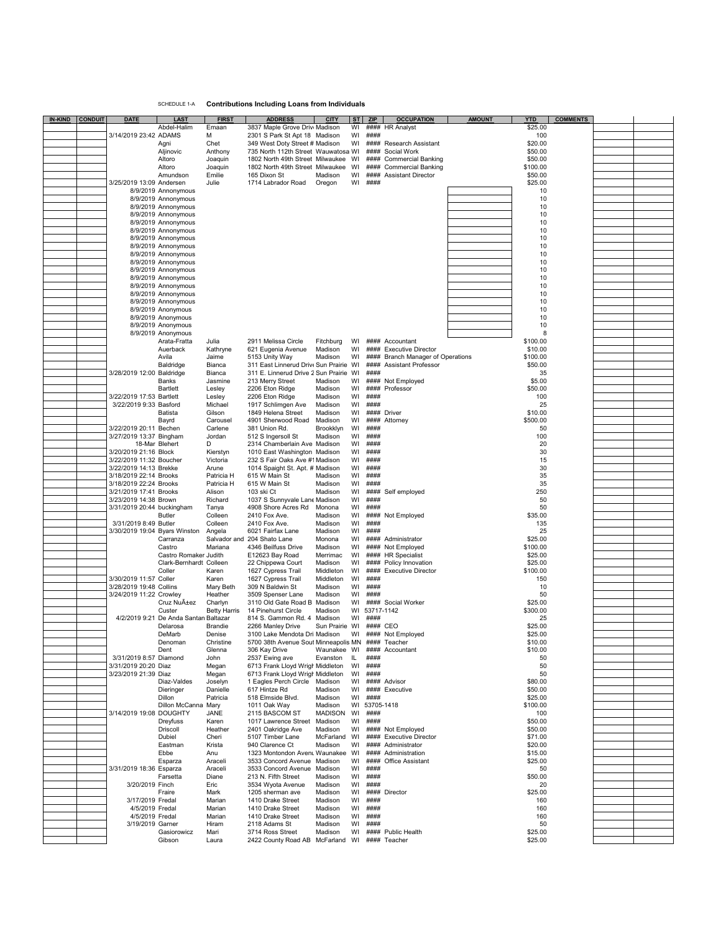| SCHEDULE 1-A | Contributions Including Loans from Individuals |
|--------------|------------------------------------------------|
|              |                                                |

| IN-KIND | <b>CONDUIT</b> | <b>DATE</b>                                         | LAST                                       | <b>FIRST</b>         | <b>ADDRESS</b>                                                             | <b>CITY</b>               | ST       | ZIP                | <b>OCCUPATION</b>                            | <b>AMOUNT</b> | YTD                 | <b>COMMENTS</b> |  |
|---------|----------------|-----------------------------------------------------|--------------------------------------------|----------------------|----------------------------------------------------------------------------|---------------------------|----------|--------------------|----------------------------------------------|---------------|---------------------|-----------------|--|
|         |                |                                                     | Abdel-Halim                                | Emaan                | 3837 Maple Grove Driv Madison                                              |                           | WI       |                    | #### HR Analyst                              |               | \$25.00             |                 |  |
|         |                | 3/14/2019 23:42 ADAMS                               |                                            | М                    | 2301 S Park St Apt 18 Madison                                              |                           | WI       | ####               |                                              |               | 100                 |                 |  |
|         |                |                                                     | Agni                                       | Chet                 | 349 West Doty Street # Madison                                             |                           | WI       |                    | #### Research Assistant                      |               | \$20.00             |                 |  |
|         |                |                                                     | Aljinovic<br>Altoro                        | Anthony<br>Joaquin   | 735 North 112th Street Wauwatosa WI<br>1802 North 49th Street Milwaukee WI |                           |          | ####<br>####       | Social Work<br><b>Commercial Banking</b>     |               | \$50.00<br>\$50.00  |                 |  |
|         |                |                                                     | Altoro                                     | Joaquin              | 1802 North 49th Street Milwaukee                                           |                           | WI       | ####               | <b>Commercial Banking</b>                    |               | \$100.00            |                 |  |
|         |                |                                                     | Amundson                                   | Emilie               | 165 Dixon St                                                               | Madison                   | WI       | ####               | <b>Assistant Director</b>                    |               | \$50.00             |                 |  |
|         |                | 3/25/2019 13:09 Andersen                            |                                            | Julie                | 1714 Labrador Road                                                         | Oregon                    | WI       | ####               |                                              |               | \$25.00             |                 |  |
|         |                |                                                     | 8/9/2019 Annonymous                        |                      |                                                                            |                           |          |                    |                                              |               | 10                  |                 |  |
|         |                |                                                     | 8/9/2019 Annonymous<br>8/9/2019 Annonymous |                      |                                                                            |                           |          |                    |                                              |               | 10<br>10            |                 |  |
|         |                |                                                     | 8/9/2019 Annonymous                        |                      |                                                                            |                           |          |                    |                                              |               | 10                  |                 |  |
|         |                |                                                     | 8/9/2019 Annonymous                        |                      |                                                                            |                           |          |                    |                                              |               | 10                  |                 |  |
|         |                |                                                     | 8/9/2019 Annonymous                        |                      |                                                                            |                           |          |                    |                                              |               | 10                  |                 |  |
|         |                |                                                     | 8/9/2019 Annonymous<br>8/9/2019 Annonymous |                      |                                                                            |                           |          |                    |                                              |               | 10<br>10            |                 |  |
|         |                |                                                     | 8/9/2019 Annonymous                        |                      |                                                                            |                           |          |                    |                                              |               | 10                  |                 |  |
|         |                |                                                     | 8/9/2019 Annonymous                        |                      |                                                                            |                           |          |                    |                                              |               | 10                  |                 |  |
|         |                |                                                     | 8/9/2019 Annonymous                        |                      |                                                                            |                           |          |                    |                                              |               | 10                  |                 |  |
|         |                |                                                     | 8/9/2019 Annonymous                        |                      |                                                                            |                           |          |                    |                                              |               | 10<br>10            |                 |  |
|         |                |                                                     | 8/9/2019 Annonymous<br>8/9/2019 Annonymous |                      |                                                                            |                           |          |                    |                                              |               | 10                  |                 |  |
|         |                |                                                     | 8/9/2019 Annonymous                        |                      |                                                                            |                           |          |                    |                                              |               | 10                  |                 |  |
|         |                |                                                     | 8/9/2019 Anonymous                         |                      |                                                                            |                           |          |                    |                                              |               | 10                  |                 |  |
|         |                |                                                     | 8/9/2019 Anonymous                         |                      |                                                                            |                           |          |                    |                                              |               | 10                  |                 |  |
|         |                |                                                     | 8/9/2019 Anonymous<br>8/9/2019 Anonymous   |                      |                                                                            |                           |          |                    |                                              |               | 10<br>8             |                 |  |
|         |                |                                                     | Arata-Fratta                               | Julia                | 2911 Melissa Circle                                                        | Fitchburg                 | WI       |                    | #### Accountant                              |               | \$100.00            |                 |  |
|         |                |                                                     | Auerback                                   | Kathryne             | 621 Eugenia Avenue                                                         | Madison                   | WI       | ####               | <b>Executive Director</b>                    |               | \$10.00             |                 |  |
|         |                |                                                     | Avila                                      | Jaime                | 5153 Unity Way                                                             | Madison                   | WI       | ####               | <b>Branch Manager of Operations</b>          |               | \$100.00            |                 |  |
|         |                |                                                     | Baldridge                                  | Bianca               | 311 East Linnerud Drive Sun Prairie WI                                     |                           |          | ####<br>####       | <b>Assistant Professor</b>                   |               | \$50.00             |                 |  |
|         |                | 3/28/2019 12:00 Baldridge                           | Banks                                      | Bianca<br>Jasmine    | 311 E. Linnerud Drive 2 Sun Prairie WI<br>213 Merry Street                 | Madison                   | WI       |                    | #### Not Employed                            |               | 35<br>\$5.00        |                 |  |
|         |                |                                                     | <b>Bartlett</b>                            | Lesley               | 2206 Eton Ridge                                                            | Madison                   | WI       |                    | #### Professor                               |               | \$50.00             |                 |  |
|         |                | 3/22/2019 17:53 Bartlett                            |                                            | Lesley               | 2206 Eton Ridge                                                            | Madison                   | WI       | ####               |                                              |               | 100                 |                 |  |
|         |                | 3/22/2019 9:33 Basford                              |                                            | Michael              | 1917 Schlimgen Ave                                                         | Madison                   | WI       | ####               |                                              |               | 25                  |                 |  |
|         |                |                                                     | Batista<br>Bayrd                           | Gilson<br>Carousel   | 1849 Helena Street<br>4901 Sherwood Road                                   | Madison<br>Madison        | WI<br>WI |                    | #### Driver<br>#### Attorney                 |               | \$10.00<br>\$500.00 |                 |  |
|         |                | 3/22/2019 20:11 Bechen                              |                                            | Carlene              | 381 Union Rd.                                                              | Brookklyn                 | WI       | ####               |                                              |               | 50                  |                 |  |
|         |                | 3/27/2019 13:37 Bingham                             |                                            | Jordan               | 512 S Ingersoll St                                                         | Madison                   | WI       | ####               |                                              |               | 100                 |                 |  |
|         |                |                                                     | 18-Mar Blehert                             | D                    | 2314 Chamberlain Ave Madison                                               |                           | WI       | ####               |                                              |               | 20                  |                 |  |
|         |                | 3/20/2019 21:16 Block<br>3/22/2019 11:32 Boucher    |                                            | Kierstyn<br>Victoria | 1010 East Washington Madison                                               |                           | WI<br>WI | ####<br>####       |                                              |               | 30<br>15            |                 |  |
|         |                | 3/22/2019 14:13 Brekke                              |                                            | Arune                | 232 S Fair Oaks Ave #1 Madison<br>1014 Spaight St. Apt. # Madison          |                           | WI       | ####               |                                              |               | 30                  |                 |  |
|         |                | 3/18/2019 22:14 Brooks                              |                                            | Patricia H           | 615 W Main St                                                              | Madison                   | WI       | ####               |                                              |               | 35                  |                 |  |
|         |                | 3/18/2019 22:24 Brooks                              |                                            | Patricia H           | 615 W Main St                                                              | Madison                   | WI       | ####               |                                              |               | 35                  |                 |  |
|         |                | 3/21/2019 17:41 Brooks                              |                                            | Alison               | 103 ski Ct                                                                 | Madison                   | WI       | ####               | Self employed                                |               | 250                 |                 |  |
|         |                | 3/23/2019 14:38 Brown<br>3/31/2019 20:44 buckingham |                                            | Richard<br>Tanya     | 1037 S Sunnyvale Lane Madison<br>4908 Shore Acres Rd                       | Monona                    | WI<br>WI | ####<br>####       |                                              |               | 50<br>50            |                 |  |
|         |                |                                                     | <b>Butler</b>                              | Colleen              | 2410 Fox Ave.                                                              | Madison                   | WI       |                    | #### Not Employed                            |               | \$35.00             |                 |  |
|         |                | 3/31/2019 8:49 Butler                               |                                            | Colleen              | 2410 Fox Ave.                                                              | Madison                   | WI       | ####               |                                              |               | 135                 |                 |  |
|         |                | 3/30/2019 19:04 Byars Winston                       |                                            | Angela               | 6021 Fairfax Lane                                                          | Madison                   | WI       | ####               |                                              |               | 25                  |                 |  |
|         |                |                                                     | Carranza<br>Castro                         | Mariana              | Salvador and 204 Shato Lane<br>4346 Beilfuss Drive                         | Monona<br>Madison         | WI<br>WI |                    | #### Administrator<br>#### Not Employed      |               | \$25.00<br>\$100.00 |                 |  |
|         |                |                                                     | Castro Romaker Judith                      |                      | E12623 Bay Road                                                            | Merrimac                  | WI       |                    | #### HR Specialist                           |               | \$25.00             |                 |  |
|         |                |                                                     | Clark-Bernhardt Colleen                    |                      | 22 Chippewa Court                                                          | Madison                   | WI       |                    | #### Policy Innovation                       |               | \$25.00             |                 |  |
|         |                |                                                     | Coller                                     | Karen                | 1627 Cypress Trail                                                         | Middleton                 | WI       |                    | #### Executive Director                      |               | \$100.00            |                 |  |
|         |                | 3/30/2019 11:57 Coller                              |                                            | Karen                | 1627 Cypress Trail                                                         | Middleton                 | WI<br>WI | ####<br>####       |                                              |               | 150<br>10           |                 |  |
|         |                | 3/28/2019 19:48 Collins<br>3/24/2019 11:22 Crowley  |                                            | Mary Beth<br>Heather | 309 N Baldwin St<br>3509 Spenser Lane                                      | Madison<br>Madison        | WI       | ####               |                                              |               | 50                  |                 |  |
|         |                |                                                     | Cruz Nuñez                                 | Charlyn              | 3110 Old Gate Road B                                                       | Madison                   | WI       |                    | #### Social Worker                           |               | \$25.00             |                 |  |
|         |                |                                                     | Custer                                     | <b>Betty Harris</b>  | 14 Pinehurst Circle                                                        | Madison                   | WI       | 53717-1142         |                                              |               | \$300.00            |                 |  |
|         |                |                                                     | 4/2/2019 9:21 De Anda Santan Baltazar      |                      | 814 S. Gammon Rd. 4                                                        | Madison                   | WI       | ####               |                                              |               | 25                  |                 |  |
|         |                |                                                     | Delarosa<br>DeMarb                         | Brandie<br>Denise    | 2266 Manley Drive<br>3100 Lake Mendota Dri Madison                         | Sun Prairie WI            | WI       | #### CEO           | #### Not Employed                            |               | \$25.00<br>\$25.00  |                 |  |
|         |                |                                                     | Denoman                                    | Christine            | 5700 38th Avenue Sout Minneapolis MN                                       |                           |          |                    | #### Teacher                                 |               | \$10.00             |                 |  |
|         |                |                                                     | Dent                                       | Glenna               | 306 Kay Drive                                                              | Waunakee WI               |          |                    | #### Accountant                              |               | \$10.00             |                 |  |
|         |                | 3/31/2019 8:57 Diamond                              |                                            | John                 | 2537 Ewing ave                                                             | Evanston                  | IL.      | ####               |                                              |               | 50                  |                 |  |
|         |                | 3/31/2019 20:20 Diaz<br>3/23/2019 21:39 Diaz        |                                            | Megan<br>Megan       | 6713 Frank Lloyd Wrigh Middleton<br>6713 Frank Lloyd Wrigh Middleton       |                           | WI<br>WI | ####<br>####       |                                              |               | 50<br>50            |                 |  |
|         |                |                                                     | Diaz-Valdes                                | Joselyn              | 1 Eagles Perch Circle Madison                                              |                           | WI       |                    | #### Advisor                                 |               | \$80.00             |                 |  |
|         |                |                                                     | Dieringer                                  | Danielle             | 617 Hintze Rd                                                              | Madison                   | WI       |                    | #### Executive                               |               | \$50.00             |                 |  |
|         |                |                                                     | Dillon                                     | Patricia             | 518 Elmside Blvd.                                                          | Madison                   | WI       | ####               |                                              |               | \$25.00             |                 |  |
|         |                | 3/14/2019 19:08 DOUGHTY                             | Dillon McCanna Mary                        |                      | 1011 Oak Way                                                               | Madison                   | WI       | 53705-1418<br>#### |                                              |               | \$100.00            |                 |  |
|         |                |                                                     | Dreyfuss                                   | JANE<br>Karen        | 2115 BASCOM ST<br>1017 Lawrence Street                                     | <b>MADISON</b><br>Madison | WI<br>WI | ####               |                                              |               | 100<br>\$50.00      |                 |  |
|         |                |                                                     | Driscoll                                   | Heather              | 2401 Oakridge Ave                                                          | Madison                   | WI       |                    | #### Not Employed                            |               | \$50.00             |                 |  |
|         |                |                                                     | Dubiel                                     | Cheri                | 5107 Timber Lane                                                           | McFarland                 | WI       |                    | #### Executive Director                      |               | \$71.00             |                 |  |
|         |                |                                                     | Eastman                                    | Krista               | 940 Clarence Ct                                                            | Madison                   | WI       |                    | #### Administrator                           |               | \$20.00             |                 |  |
|         |                |                                                     | Ebbe<br>Esparza                            | Anu<br>Araceli       | 1323 Montondon Avenu Waunakee WI<br>3533 Concord Avenue Madison            |                           | WI       |                    | #### Administration<br>#### Office Assistant |               | \$15.00<br>\$25.00  |                 |  |
|         |                | 3/31/2019 18:36 Esparza                             |                                            | Araceli              | 3533 Concord Avenue Madison                                                |                           | WI       | ####               |                                              |               | 50                  |                 |  |
|         |                |                                                     | Farsetta                                   | Diane                | 213 N. Fifth Street                                                        | Madison                   | WI       | ####               |                                              |               | \$50.00             |                 |  |
|         |                | 3/20/2019 Finch                                     |                                            | Eric                 | 3534 Wyota Avenue                                                          | Madison                   | WI       | ####               |                                              |               | 20                  |                 |  |
|         |                |                                                     | Fraire                                     | Mark                 | 1205 sherman ave<br>1410 Drake Street                                      | Madison                   | WI<br>WI | ####               | #### Director                                |               | \$25.00<br>160      |                 |  |
|         |                | 3/17/2019 Fredal<br>4/5/2019 Fredal                 |                                            | Marian<br>Marian     | 1410 Drake Street                                                          | Madison<br>Madison        | WI       | ####               |                                              |               | 160                 |                 |  |
|         |                | 4/5/2019 Fredal                                     |                                            | Marian               | 1410 Drake Street                                                          | Madison                   | WI       | ####               |                                              |               | 160                 |                 |  |
|         |                | 3/19/2019 Garner                                    |                                            | Hiram                | 2118 Adams St                                                              | Madison                   | WI       | ####               |                                              |               | 50                  |                 |  |
|         |                |                                                     | Gasiorowicz                                | Mari                 | 3714 Ross Street                                                           | Madison                   | WI       |                    | #### Public Health                           |               | \$25.00             |                 |  |
|         |                |                                                     | Gibson                                     | Laura                | 2422 County Road AB McFarland                                              |                           | WI       |                    | #### Teacher                                 |               | \$25.00             |                 |  |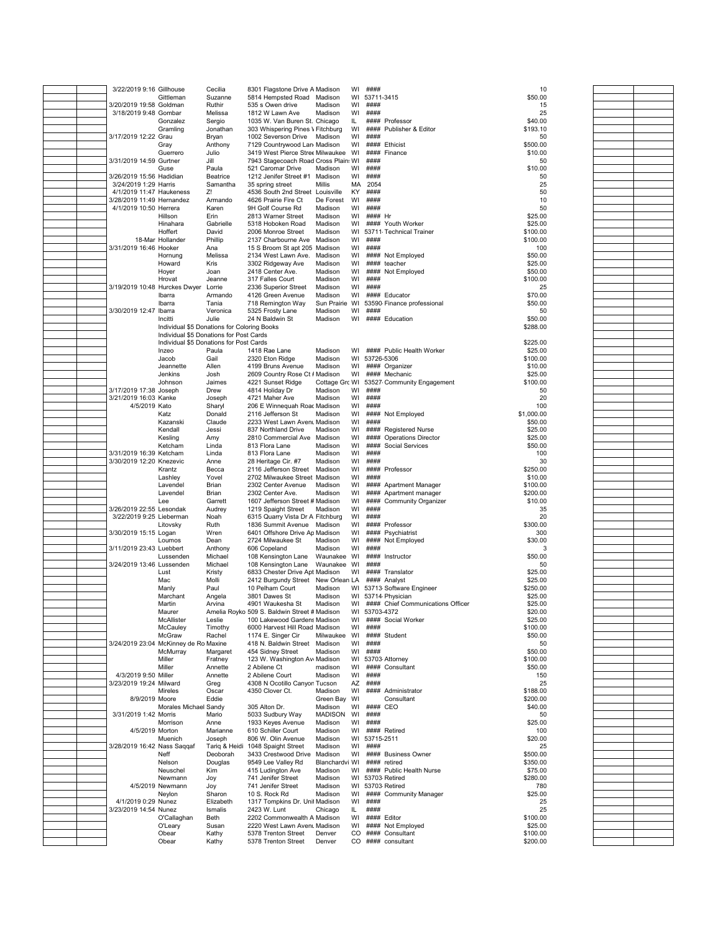|  | 3/22/2019 9:16 Gillhouse                             |                                             | Cecilia              | 8301 Flagstone Drive A Madison                                               |                           | WI       | ####          |                                             | 10                  |  |
|--|------------------------------------------------------|---------------------------------------------|----------------------|------------------------------------------------------------------------------|---------------------------|----------|---------------|---------------------------------------------|---------------------|--|
|  |                                                      | Gittleman                                   | Suzanne              | 5814 Hempsted Road Madison                                                   |                           | WI       | 53711-3415    |                                             | \$50.00             |  |
|  | 3/20/2019 19:58 Goldman                              |                                             | Ruthir               | 535 s Owen drive                                                             | Madison                   | WI       | ####          |                                             | 15                  |  |
|  | 3/18/2019 9:48 Gombar                                |                                             | Melissa              | 1812 W Lawn Ave                                                              | Madison                   | WI       | ####          |                                             | 25                  |  |
|  |                                                      | Gonzalez                                    | Sergio               | 1035 W. Van Buren St. Chicago                                                |                           | IL.      |               | #### Professor                              | \$40.00             |  |
|  |                                                      | Gramling                                    | Jonathan             | 303 Whispering Pines V Fitchburg                                             |                           | WI       |               | #### Publisher & Editor                     | \$193.10            |  |
|  | 3/17/2019 12:22 Grau                                 |                                             | Bryan                | 1002 Severson Drive Madison                                                  |                           | WI       | ####          |                                             | 50                  |  |
|  |                                                      | Gray                                        | Anthony              | 7129 Countrywood Lan Madison                                                 |                           | WI       |               | #### Ethicist                               | \$500.00            |  |
|  |                                                      | Guerrero                                    | Julio                | 3419 West Pierce Stree Milwaukee WI                                          |                           |          |               | #### Finance                                | \$10.00             |  |
|  | 3/31/2019 14:59 Gurtner                              |                                             | Jill                 | 7943 Stagecoach Road Cross Plain: WI                                         |                           |          | ####          |                                             | 50                  |  |
|  |                                                      | Guse                                        | Paula                | 521 Caromar Drive                                                            | Madison                   | WI       | ####          |                                             | \$10.00             |  |
|  | 3/26/2019 15:56 Hadidian                             |                                             | Beatrice             | 1212 Jenifer Street #1 Madison                                               |                           | WI       | ####          |                                             | 50                  |  |
|  | 3/24/2019 1:29 Harris                                |                                             | Samantha             | 35 spring street                                                             | Millis                    | МA       | 2054          |                                             | 25                  |  |
|  | 4/1/2019 11:47 Haukeness                             |                                             | Z!                   | 4536 South 2nd Street Louisville<br>4626 Prairie Fire Ct                     | De Forest                 | KY<br>WI | ####<br>####  |                                             | 50<br>10            |  |
|  | 3/28/2019 11:49 Hernandez<br>4/1/2019 10:50 Herrera  |                                             | Armando<br>Karen     | 9H Golf Course Rd                                                            | Madison                   | WI       | ####          |                                             | 50                  |  |
|  |                                                      | Hillson                                     | Erin                 | 2813 Warner Street                                                           | Madison                   | WI       | #### Hr       |                                             | \$25.00             |  |
|  |                                                      | Hinahara                                    | Gabrielle            | 5318 Hoboken Road                                                            | Madison                   | WI       |               | #### Youth Worker                           | \$25.00             |  |
|  |                                                      | Hoffert                                     | David                | 2006 Monroe Street                                                           | Madison                   | WI       |               | 53711 Technical Trainer                     | \$100.00            |  |
|  |                                                      | 18-Mar Hollander                            | Phillip              | 2137 Charbourne Ave                                                          | Madison                   | WI       | ####          |                                             | \$100.00            |  |
|  | 3/31/2019 16:46 Hooker                               |                                             | Ana                  | 15 S Broom St apt 205 Madison                                                |                           | WI       | ####          |                                             | 100                 |  |
|  |                                                      | Hornung                                     | Melissa              | 2134 West Lawn Ave.                                                          | Madison                   | WI       |               | #### Not Employed                           | \$50.00             |  |
|  |                                                      | Howard                                      | Kris                 | 3302 Ridgeway Ave                                                            | Madison                   | WI       |               | #### teacher                                | \$25.00             |  |
|  |                                                      | Hoyer                                       | Joan                 | 2418 Center Ave.                                                             | Madison                   | WI       |               | #### Not Employed                           | \$50.00             |  |
|  |                                                      | Hrovat                                      | Jeanne               | 317 Falles Court                                                             | Madison                   | WI       | ####          |                                             | \$100.00            |  |
|  | 3/19/2019 10:48 Hurckes Dwyer                        |                                             | Lorrie               | 2336 Superior Street                                                         | Madison                   | WI       | ####          |                                             | 25                  |  |
|  |                                                      | Ibarra<br>Ibarra                            | Armando<br>Tania     | 4126 Green Avenue<br>718 Remington Way                                       | Madison<br>Sun Prairie WI | WI       |               | #### Educator<br>53590 Finance professional | \$70.00<br>\$50.00  |  |
|  | 3/30/2019 12:47 Ibarra                               |                                             | Veronica             | 5325 Frosty Lane                                                             | Madison                   | WI       | ####          |                                             | 50                  |  |
|  |                                                      | Incitti                                     | Julie                | 24 N Baldwin St                                                              | Madison                   | WI       |               | #### Education                              | \$50.00             |  |
|  |                                                      | Individual \$5 Donations for Coloring Books |                      |                                                                              |                           |          |               |                                             | \$288.00            |  |
|  |                                                      | Individual \$5 Donations for Post Cards     |                      |                                                                              |                           |          |               |                                             |                     |  |
|  |                                                      | Individual \$5 Donations for Post Cards     |                      |                                                                              |                           |          |               |                                             | \$225.00            |  |
|  |                                                      | Inzeo                                       | Paula                | 1418 Rae Lane                                                                | Madison                   | WI       |               | #### Public Health Worker                   | \$25.00             |  |
|  |                                                      | Jacob                                       | Gail                 | 2320 Eton Ridge                                                              | Madison                   | WI       | 53726-5306    |                                             | \$100.00            |  |
|  |                                                      | Jeannette                                   | Allen                | 4199 Bruns Avenue                                                            | Madison                   | WI       |               | #### Organizer                              | \$10.00             |  |
|  |                                                      | Jenkins                                     | Josh                 | 2609 Country Rose Ct                                                         |                           | WI       |               | #### Mechanic                               | \$25.00             |  |
|  |                                                      | Johnson                                     | Jaimes               | 4221 Sunset Ridge                                                            | Cottage Grc WI            |          |               | 53527 Community Engagement                  | \$100.00            |  |
|  | 3/17/2019 17:38 Joseph                               |                                             | Drew                 | 4814 Holiday Dr                                                              | Madison                   | WI       | ####          |                                             | 50                  |  |
|  | 3/21/2019 16:03 Kanke<br>4/5/2019 Kato               |                                             | Joseph               | 4721 Maher Ave                                                               | Madison                   | WI<br>WI | ####<br>####  |                                             | 20                  |  |
|  |                                                      | Katz                                        | Sharyl<br>Donald     | 206 E Winnequah Roac Madison<br>2116 Jefferson St                            | Madison                   | WI       |               | #### Not Employed                           | 100<br>\$1,000.00   |  |
|  |                                                      | Kazanski                                    | Claude               | 2233 West Lawn Avent Madison                                                 |                           | WI       | ####          |                                             | \$50.00             |  |
|  |                                                      | Kendall                                     | Jessi                | 837 Northland Drive                                                          | Madison                   | WI       |               | #### Registered Nurse                       | \$25.00             |  |
|  |                                                      | Kesling                                     | Amy                  | 2810 Commercial Ave                                                          | Madison                   | WI       | ####          | <b>Operations Director</b>                  | \$25.00             |  |
|  |                                                      | Ketcham                                     | Linda                | 813 Flora Lane                                                               | Madison                   | WI       |               | #### Social Services                        | \$50.00             |  |
|  | 3/31/2019 16:39 Ketcham                              |                                             | Linda                | 813 Flora Lane                                                               | Madison                   | WI       | ####          |                                             | 100                 |  |
|  | 3/30/2019 12:20 Knezevic                             |                                             | Anne                 | 28 Heritage Cir. #7                                                          | Madison                   | WI       | ####          |                                             | 30                  |  |
|  |                                                      | Krantz                                      | Becca                | 2116 Jefferson Street                                                        | Madison                   | WI       |               | #### Professor                              | \$250.00            |  |
|  |                                                      | Lashley                                     | Yovel                | 2702 Milwaukee Street Madison                                                |                           | WI       | ####          |                                             | \$10.00             |  |
|  |                                                      | Lavendel                                    | Brian                | 2302 Center Avenue                                                           | Madison                   | WI       |               | #### Apartment Manager                      | \$100.00            |  |
|  |                                                      | Lavendel                                    | Brian                | 2302 Center Ave.                                                             | Madison                   | WI       |               | #### Apartment manager                      | \$200.00            |  |
|  |                                                      | Lee                                         | Garrett              | 1607 Jefferson Street # Madison                                              |                           | WI       |               | #### Community Organizer                    | \$10.00             |  |
|  | 3/26/2019 22:55 Lesondak<br>3/22/2019 9:25 Lieberman |                                             | Audrey<br>Noah       | 1219 Spaight Street<br>6315 Quarry Vista Dr A Fitchburg                      | Madison                   | WI<br>WI | ####<br>####  |                                             | 35<br>20            |  |
|  |                                                      | Litovsky                                    | Ruth                 | 1836 Summit Avenue                                                           | Madison                   | WI       |               | #### Professor                              | \$300.00            |  |
|  | 3/30/2019 15:15 Logan                                |                                             | Wren                 | 6401 Offshore Drive Ap Madison                                               |                           | WI       |               | #### Psychiatrist                           | 300                 |  |
|  |                                                      | Loumos                                      | Dean                 | 2724 Milwaukee St                                                            | Madison                   | WI       |               | #### Not Employed                           | \$30.00             |  |
|  | 3/11/2019 23:43 Luebbert                             |                                             | Anthony              | 606 Copeland                                                                 | Madison                   | WI       | ####          |                                             | 3                   |  |
|  |                                                      | Lussenden                                   | Michael              | 108 Kensington Lane                                                          | Waunakee                  | WI       |               | #### Instructor                             | \$50.00             |  |
|  | 3/24/2019 13:46 Lussenden                            |                                             | Michael              | 108 Kensington Lane                                                          | Waunakee WI               |          | ####          |                                             | 50                  |  |
|  |                                                      | Lust                                        | Kristy               | 6833 Chester Drive Apt Madison                                               |                           | WI       |               | #### Translator                             | \$25.00             |  |
|  |                                                      | Mac                                         | Molli                | 2412 Burgundy Street New Orlean LA                                           |                           |          |               | #### Analyst                                | \$25.00             |  |
|  |                                                      | Manly                                       | Paul                 | 10 Pelham Court                                                              | Madison                   | WI       |               | 53713 Software Engineer                     | \$250.00            |  |
|  |                                                      | Marchant                                    | Angela               | 3801 Dawes St                                                                | Madison                   | WI       |               | 53714 Physician                             | \$25.00             |  |
|  |                                                      | Martin<br>Maurer                            | Arvina               | 4901 Waukesha St                                                             | Madison                   | WI       |               | #### Chief Communications Officer           | \$25.00             |  |
|  |                                                      | McAllister                                  | Leslie               | Amelia Royko 509 S. Baldwin Street # Madison<br>100 Lakewood Gardens Madison |                           | WI       | WI 53703-4372 | #### Social Worker                          | \$20.00<br>\$25.00  |  |
|  |                                                      | McCauley                                    | Timothy              | 6000 Harvest Hill Road Madison                                               |                           | WI       | ####          |                                             | \$100.00            |  |
|  |                                                      | McGraw                                      | Rachel               | 1174 E. Singer Cir                                                           | Milwaukee                 | WI       |               | #### Student                                | \$50.00             |  |
|  | 3/24/2019 23:04 McKinney de Ro Maxine                |                                             |                      | 418 N. Baldwin Street Madison                                                |                           | WI       | ####          |                                             | 50                  |  |
|  |                                                      | McMurray                                    | Margaret             | 454 Sidney Street                                                            | Madison                   | WI       | ####          |                                             | \$50.00             |  |
|  |                                                      | Miller                                      | Fratney              | 123 W. Washington Av Madison                                                 |                           | WI       |               | 53703 Attorney                              | \$100.00            |  |
|  |                                                      | Miller                                      | Annette              | 2 Abilene Ct                                                                 | madison                   | WI       |               | #### Consultant                             | \$50.00             |  |
|  | 4/3/2019 9:50 Miller                                 |                                             | Annette              | 2 Abilene Court                                                              | Madison                   | WI       | ####          |                                             | 150                 |  |
|  | 3/23/2019 19:24 Milward                              |                                             | Greg                 | 4308 N Ocotillo Canyon Tucson                                                |                           | ΑZ       | ####          |                                             | 25                  |  |
|  |                                                      | Mireles                                     | Oscar                | 4350 Clover Ct.                                                              | Madison                   | WI       |               | #### Administrator                          | \$188.00            |  |
|  | 8/9/2019 Moore                                       | Morales Michael Sandy                       | Eddie                | 305 Alton Dr.                                                                | Green Bay WI              | WI       | #### CEO      | Consultant                                  | \$200.00<br>\$40.00 |  |
|  | 3/31/2019 1:42 Morris                                |                                             | Mario                | 5033 Sudbury Way                                                             | Madison<br>MADISON WI     |          | ####          |                                             | 50                  |  |
|  |                                                      | Morrison                                    | Anne                 | 1933 Keyes Avenue                                                            | Madison                   | WI       | ####          |                                             | \$25.00             |  |
|  | 4/5/2019 Morton                                      |                                             | Marianne             | 610 Schiller Court                                                           | Madison                   | WI       |               | #### Retired                                | 100                 |  |
|  |                                                      | Muenich                                     | Joseph               | 806 W. Olin Avenue                                                           | Madison                   | WI       | 53715-2511    |                                             | \$20.00             |  |
|  | 3/28/2019 16:42 Nass Saqqaf                          |                                             | Tariq & Heidi        | 1048 Spaight Street                                                          | Madison                   | WI       | ####          |                                             | 25                  |  |
|  |                                                      | Neff                                        | Deoborah             | 3433 Crestwood Drive                                                         | Madison                   | WI       |               | #### Business Owner                         | \$500.00            |  |
|  |                                                      | Nelson                                      | Douglas              | 9549 Lee Valley Rd                                                           | Blanchardvi WI            |          |               | #### retired                                | \$350.00            |  |
|  |                                                      | Neuschel                                    | Kim                  | 415 Ludington Ave                                                            | Madison                   | WI       |               | #### Public Health Nurse                    | \$75.00             |  |
|  |                                                      | Newmann                                     | Joy                  | 741 Jenifer Street                                                           | Madison                   | WI       |               | 53703 Retired                               | \$280.00            |  |
|  |                                                      | 4/5/2019 Newmann                            | Joy                  | 741 Jenifer Street                                                           | Madison                   | WI       |               | 53703 Retired                               | 780                 |  |
|  |                                                      | Neylon                                      | Sharon               | 10 S. Rock Rd                                                                | Madison                   | WI<br>WI | ####          | #### Community Manager                      | \$25.00             |  |
|  | 4/1/2019 0:29 Nunez<br>3/23/2019 14:54 Nunez         |                                             | Elizabeth<br>Ismalis | 1317 Tompkins Dr. Unit Madison<br>2423 W. Lunt                               | Chicago                   | IL.      | ####          |                                             | 25<br>25            |  |
|  |                                                      | O'Callaghan                                 | Beth                 | 2202 Commonwealth A Madison                                                  |                           | WI       |               | #### Editor                                 | \$100.00            |  |
|  |                                                      | O'Leary                                     | Susan                | 2220 West Lawn Avent Madison                                                 |                           | WI       |               | #### Not Employed                           | \$25.00             |  |
|  |                                                      | Obear                                       | Kathy                | 5378 Trenton Street                                                          | Denver                    | CO       |               | #### Consultant                             | \$100.00            |  |
|  |                                                      | Obear                                       | Kathy                | 5378 Trenton Street                                                          | Denver                    |          |               | CO #### consultant                          | \$200.00            |  |
|  |                                                      |                                             |                      |                                                                              |                           |          |               |                                             |                     |  |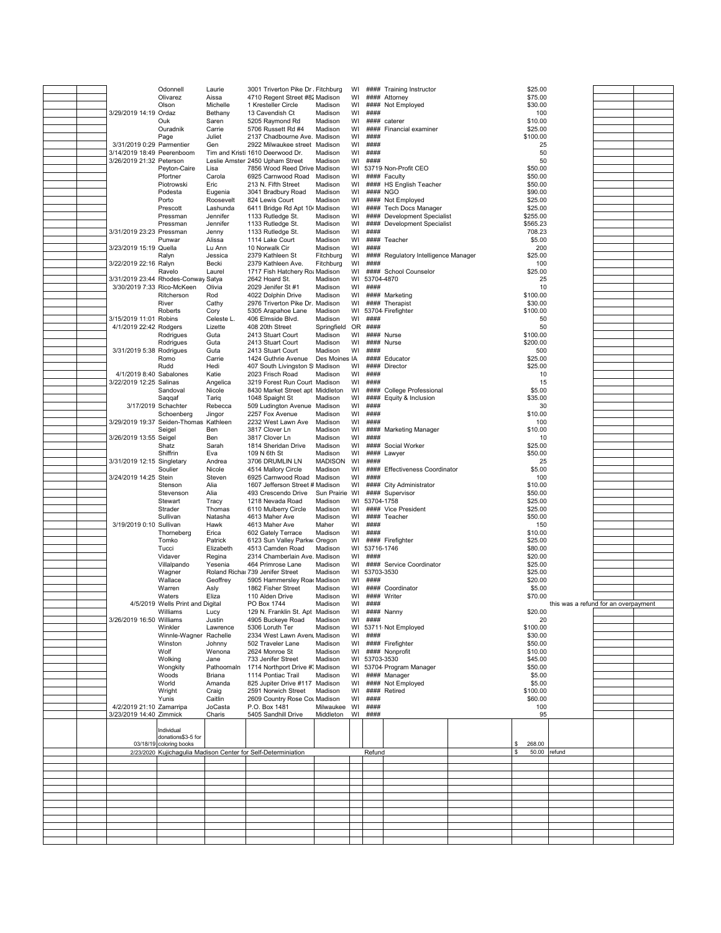|  |                                                    | Odonnell                         | Laurie               | 3001 Triverton Pike Dr , Fitchburg                            |                        | WI       | ####          | <b>Training Instructor</b>               | \$25.00            |                                      |  |
|--|----------------------------------------------------|----------------------------------|----------------------|---------------------------------------------------------------|------------------------|----------|---------------|------------------------------------------|--------------------|--------------------------------------|--|
|  |                                                    | Olivarez                         | Aissa                | 4710 Regent Street #82 Madison                                |                        | WI       | ####          | Attorney                                 | \$75.00            |                                      |  |
|  |                                                    | Olson                            | Michelle             | 1 Kresteller Circle                                           | Madison                | WI       | ####          | Not Employed                             | \$30.00            |                                      |  |
|  | 3/29/2019 14:19 Ordaz                              |                                  | Bethany              | 13 Cavendish Ct                                               | Madison                | WI       | ####          |                                          | 100                |                                      |  |
|  |                                                    | Ouk                              | Saren                | 5205 Raymond Rd                                               | Madison                | WI       |               | #### caterer                             | \$10.00            |                                      |  |
|  |                                                    | Ouradnik                         | Carrie               | 5706 Russett Rd #4                                            | Madison                | WI       | ####          | Financial examiner                       | \$25.00            |                                      |  |
|  | 3/31/2019 0:29 Parmentier                          | Page                             | Juliet<br>Gen        | 2137 Chadbourne Ave. Madison<br>2922 Milwaukee street Madison |                        | WI<br>WI | ####<br>####  |                                          | \$100.00<br>25     |                                      |  |
|  | 3/14/2019 18:49 Peerenboom                         |                                  |                      | Tim and Kristi 1610 Deerwood Dr.                              | Madison                | WI       | ####          |                                          | 50                 |                                      |  |
|  | 3/26/2019 21:32 Peterson                           |                                  |                      | Leslie Amster 2450 Upham Street                               | Madison                | WI       | ####          |                                          | 50                 |                                      |  |
|  |                                                    | Peyton-Caire                     | Lisa                 | 7856 Wood Reed Drive Madison                                  |                        | WI       |               | 53719 Non-Profit CEO                     | \$50.00            |                                      |  |
|  |                                                    | Pfortner                         | Carola               | 6925 Carnwood Road                                            | Madison                | WI       |               | #### Faculty                             | \$50.00            |                                      |  |
|  |                                                    | Piotrowski                       | Eric                 | 213 N. Fifth Street                                           | Madison                | WI       |               | #### HS English Teacher                  | \$50.00            |                                      |  |
|  |                                                    | Podesta<br>Porto                 | Eugenia<br>Roosevelt | 3041 Bradbury Road<br>824 Lewis Court                         | Madison                | WI<br>WI | #### NGO      |                                          | \$90.00            |                                      |  |
|  |                                                    | Prescott                         | Lashunda             | 6411 Bridge Rd Apt 104 Madison                                | Madison                | WI       | ####<br>####  | Not Employed<br><b>Tech Docs Manager</b> | \$25.00<br>\$25.00 |                                      |  |
|  |                                                    | Pressman                         | Jennifer             | 1133 Rutledge St.                                             | Madison                | WI       | ####          | Development Specialist                   | \$255.00           |                                      |  |
|  |                                                    | Pressman                         | Jennifer             | 1133 Rutledge St.                                             | Madison                | WI       | ####          | Development Specialist                   | \$565.23           |                                      |  |
|  | 3/31/2019 23:23 Pressman                           |                                  | Jenny                | 1133 Rutledge St.                                             | Madison                | WI       | ####          |                                          | 708.23             |                                      |  |
|  |                                                    | Punwar                           | Alissa               | 1114 Lake Court                                               | Madison                | WI       | ####          | Teacher                                  | \$5.00             |                                      |  |
|  | 3/23/2019 15:19 Quella                             |                                  | Lu Ann               | 10 Norwalk Cir                                                | Madison                | WI       | ####          |                                          | 200                |                                      |  |
|  | 3/22/2019 22:16 Ralyn                              | Ralyn                            | Jessica<br>Becki     | 2379 Kathleen St<br>2379 Kathleen Ave.                        | Fitchburg<br>Fitchburg | WI<br>WI | ####          | #### Regulatory Intelligence Manager     | \$25.00<br>100     |                                      |  |
|  |                                                    | Ravelo                           | Laurel               | 1717 Fish Hatchery Ro: Madison                                |                        | WI       |               | #### School Counselor                    | \$25.00            |                                      |  |
|  | 3/31/2019 23:44 Rhodes-Conway Satya                |                                  |                      | 2642 Hoard St.                                                | Madison                | WI       | 53704-4870    |                                          | 25                 |                                      |  |
|  | 3/30/2019 7:33 Rico-McKeen                         |                                  | Olivia               | 2029 Jenifer St #1                                            | Madison                | WI       | ####          |                                          | 10                 |                                      |  |
|  |                                                    | Ritcherson                       | Rod                  | 4022 Dolphin Drive                                            | Madison                | WI       |               | #### Marketing                           | \$100.00           |                                      |  |
|  |                                                    | River                            | Cathy                | 2976 Triverton Pike Dr. Madison                               |                        | WI       |               | #### Therapist                           | \$30.00            |                                      |  |
|  | 3/15/2019 11:01 Robins                             | Roberts                          | Cory<br>Celeste L.   | 5305 Arapahoe Lane<br>406 Elmside Blvd.                       | Madison<br>Madison     | WI<br>WI | ####          | 53704 Firefighter                        | \$100.00<br>50     |                                      |  |
|  | 4/1/2019 22:42 Rodgers                             |                                  | Lizette              | 408 20th Street                                               | Springfield            | OR       | ####          |                                          | 50                 |                                      |  |
|  |                                                    | Rodrigues                        | Guta                 | 2413 Stuart Court                                             | Madison                | WI       | ####          | Nurse                                    | \$100.00           |                                      |  |
|  |                                                    | Rodrigues                        | Guta                 | 2413 Stuart Court                                             | Madison                | WI       | ####          | Nurse                                    | \$200.00           |                                      |  |
|  | 3/31/2019 5:38 Rodrigues                           |                                  | Guta                 | 2413 Stuart Court                                             | Madison                | WI       | ####          |                                          | 500                |                                      |  |
|  |                                                    | Romo                             | Carrie               | 1424 Guthrie Avenue                                           | Des Moines IA          |          |               | #### Educator                            | \$25.00            |                                      |  |
|  |                                                    | Rudd                             | Hedi                 | 407 South Livingston St Madison                               |                        | WI       | ####          | Director                                 | \$25.00            |                                      |  |
|  | 4/1/2019 8:40 Sabalones<br>3/22/2019 12:25 Salinas |                                  | Katie                | 2023 Frisch Road<br>3219 Forest Run Court Madison             | Madison                | WI<br>WI | ####<br>####  |                                          | 10<br>15           |                                      |  |
|  |                                                    | Sandoval                         | Angelica<br>Nicole   | 8430 Market Street apt Middleton                              |                        | WI       |               | #### College Professional                | \$5.00             |                                      |  |
|  |                                                    | Saqqaf                           | Tariq                | 1048 Spaight St                                               | Madison                | WI       | ####          | Equity & Inclusion                       | \$35.00            |                                      |  |
|  | 3/17/2019 Schachter                                |                                  | Rebecca              | 509 Ludington Avenue Madison                                  |                        | WI       | ####          |                                          | 30                 |                                      |  |
|  |                                                    | Schoenberg                       | Jingor               | 2257 Fox Avenue                                               | Madison                | WI       | ####          |                                          | \$10.00            |                                      |  |
|  | 3/29/2019 19:37 Seiden-Thomas Kathleen             |                                  |                      | 2232 West Lawn Ave                                            | Madison                | WI       | ####          |                                          | 100                |                                      |  |
|  |                                                    | Seigel                           | Ben                  | 3817 Clover Ln                                                | Madison                | WI       | ####          | <b>Marketing Manager</b>                 | \$10.00            |                                      |  |
|  | 3/26/2019 13:55 Seigel                             | Shatz                            | Ben<br>Sarah         | 3817 Clover Ln<br>1814 Sheridan Drive                         | Madison<br>Madison     | WI<br>WI | ####          | #### Social Worker                       | 10<br>\$25.00      |                                      |  |
|  |                                                    | Shiffrin                         | Eva                  | 109 N 6th St                                                  | Madison                | WI       |               | #### Lawyer                              | \$50.00            |                                      |  |
|  | 3/31/2019 12:15 Singletary                         |                                  | Andrea               | 3706 DRUMLIN LN                                               | <b>MADISON</b>         | WI       | ####          |                                          | 25                 |                                      |  |
|  |                                                    | Soulier                          | Nicole               | 4514 Mallory Circle                                           | Madison                | WI       | ####          | <b>Effectiveness Coordinator</b>         | \$5.00             |                                      |  |
|  | 3/24/2019 14:25 Stein                              |                                  | Steven               | 6925 Carnwood Road                                            | Madison                | WI       | ####          |                                          | 100                |                                      |  |
|  |                                                    | Stenson                          | Alia                 | 1607 Jefferson Street # Madison                               |                        | WI       |               | #### City Administrator                  | \$10.00            |                                      |  |
|  |                                                    | Stevenson                        | Alia                 | 493 Crescendo Drive                                           | Sun Prairie WI         |          |               | #### Supervisor                          | \$50.00            |                                      |  |
|  |                                                    | Stewart<br>Strader               | Tracy<br>Thomas      | 1218 Nevada Road<br>6110 Mulberry Circle                      | Madison<br>Madison     | WI<br>WI | 53704-1758    | #### Vice President                      | \$25.00<br>\$25.00 |                                      |  |
|  |                                                    | Sullivan                         | Natasha              | 4613 Maher Ave                                                | Madison                | WI       |               | #### Teacher                             | \$50.00            |                                      |  |
|  | 3/19/2019 0:10 Sullivan                            |                                  | Hawk                 | 4613 Maher Ave                                                | Maher                  | WI       | ####          |                                          | 150                |                                      |  |
|  |                                                    | Thorneberg                       | Erica                | 602 Gately Terrace                                            | Madison                | WI       | ####          |                                          | \$10.00            |                                      |  |
|  |                                                    | Tomko                            | Patrick              | 6123 Sun Valley Parkw: Oregon                                 |                        | WI       |               | #### Firefighter                         | \$25.00            |                                      |  |
|  |                                                    | Tucci                            | Elizabeth            | 4513 Camden Road                                              | Madison                | WI       | 53716-1746    |                                          | \$80.00            |                                      |  |
|  |                                                    | Vidaver                          | Regina               | 2314 Chamberlain Ave. Madison                                 |                        | WI       | ####          |                                          | \$20.00            |                                      |  |
|  |                                                    | Villalpando<br>Wagner            | Yesenia              | 464 Primrose Lane<br>Roland Richar 739 Jenifer Street         | Madison<br>Madison     | WI       | WI 53703-3530 | #### Service Coordinator                 | \$25.00<br>\$25.00 |                                      |  |
|  |                                                    | Wallace                          | Geoffrey             | 5905 Hammersley Roac Madison                                  |                        | WI       | ####          |                                          | \$20.00            |                                      |  |
|  |                                                    | Warren                           | Asly                 | 1862 Fisher Street                                            | Madison                | WI       |               | #### Coordinator                         | \$5.00             |                                      |  |
|  |                                                    | Waters                           | Eliza                | 110 Alden Drive                                               | Madison                | WI       |               | #### Writer                              | \$70.00            |                                      |  |
|  |                                                    | 4/5/2019 Wells Print and Digital |                      | PO Box 1744                                                   | Madison                | WI       | ####          |                                          |                    | this was a refund for an overpayment |  |
|  | 3/26/2019 16:50 Williams                           | Williams                         | Lucy                 | 129 N. Franklin St. Apt Madison                               |                        | WI       |               | #### Nanny                               | \$20.00            |                                      |  |
|  |                                                    | Winkler                          | Justin<br>Lawrence   | 4905 Buckeye Road Madison<br>5306 Loruth Ter                  | Madison                |          | WI ####       | WI 53711 Not Employed                    | 20<br>\$100.00     |                                      |  |
|  |                                                    | Winnle-Wagner                    | Rachelle             | 2334 West Lawn Avent Madison                                  |                        | WI       | ####          |                                          | \$30.00            |                                      |  |
|  |                                                    | Winston                          | Johnny               | 502 Traveler Lane                                             | Madison                | WI       |               | #### Firefighter                         | \$50.00            |                                      |  |
|  |                                                    | Wolf                             | Wenona               | 2624 Monroe St                                                | Madison                | WI       |               | #### Nonprofit                           | \$10.00            |                                      |  |
|  |                                                    | Wolking                          | Jane                 | 733 Jenifer Street                                            | Madison                |          | WI 53703-3530 |                                          | \$45.00            |                                      |  |
|  |                                                    | Wongkity                         | Pathoomaln           | 1714 Northport Drive #: Madison                               |                        | WI       |               | 53704 Program Manager                    | \$50.00            |                                      |  |
|  |                                                    | Woods<br>World                   | Briana<br>Amanda     | 1114 Pontiac Trail<br>825 Jupiter Drive #117 Madison          | Madison                | WI<br>WI |               | #### Manager<br>#### Not Employed        | \$5.00<br>\$5.00   |                                      |  |
|  |                                                    | Wright                           | Craig                | 2591 Norwich Street                                           | Madison                | WI       |               | #### Retired                             | \$100.00           |                                      |  |
|  |                                                    | Yunis                            | Caitlin              | 2609 Country Rose Cou Madison                                 |                        | WI       | ####          |                                          | \$60.00            |                                      |  |
|  | 4/2/2019 21:10 Zamarripa                           |                                  | JoCasta              | P.O. Box 1481                                                 | Milwaukee WI           |          | ####          |                                          | 100                |                                      |  |
|  | 3/23/2019 14:40 Zimmick                            |                                  | Charis               | 5405 Sandhill Drive                                           | Middleton              |          | $W1$ ####     |                                          | 95                 |                                      |  |
|  |                                                    |                                  |                      |                                                               |                        |          |               |                                          |                    |                                      |  |
|  |                                                    | Individual<br>donations\$3-5 for |                      |                                                               |                        |          |               |                                          |                    |                                      |  |
|  |                                                    | 03/18/19 coloring books          |                      |                                                               |                        |          |               |                                          | 268.00<br>\$       |                                      |  |
|  |                                                    |                                  |                      | 2/23/2020 Kujichagulia Madison Center for Self-Determiniation |                        |          | Refund        |                                          | 50.00 refund<br>\$ |                                      |  |
|  |                                                    |                                  |                      |                                                               |                        |          |               |                                          |                    |                                      |  |
|  |                                                    |                                  |                      |                                                               |                        |          |               |                                          |                    |                                      |  |
|  |                                                    |                                  |                      |                                                               |                        |          |               |                                          |                    |                                      |  |
|  |                                                    |                                  |                      |                                                               |                        |          |               |                                          |                    |                                      |  |
|  |                                                    |                                  |                      |                                                               |                        |          |               |                                          |                    |                                      |  |
|  |                                                    |                                  |                      |                                                               |                        |          |               |                                          |                    |                                      |  |
|  |                                                    |                                  |                      |                                                               |                        |          |               |                                          |                    |                                      |  |
|  |                                                    |                                  |                      |                                                               |                        |          |               |                                          |                    |                                      |  |
|  |                                                    |                                  |                      |                                                               |                        |          |               |                                          |                    |                                      |  |
|  |                                                    |                                  |                      |                                                               |                        |          |               |                                          |                    |                                      |  |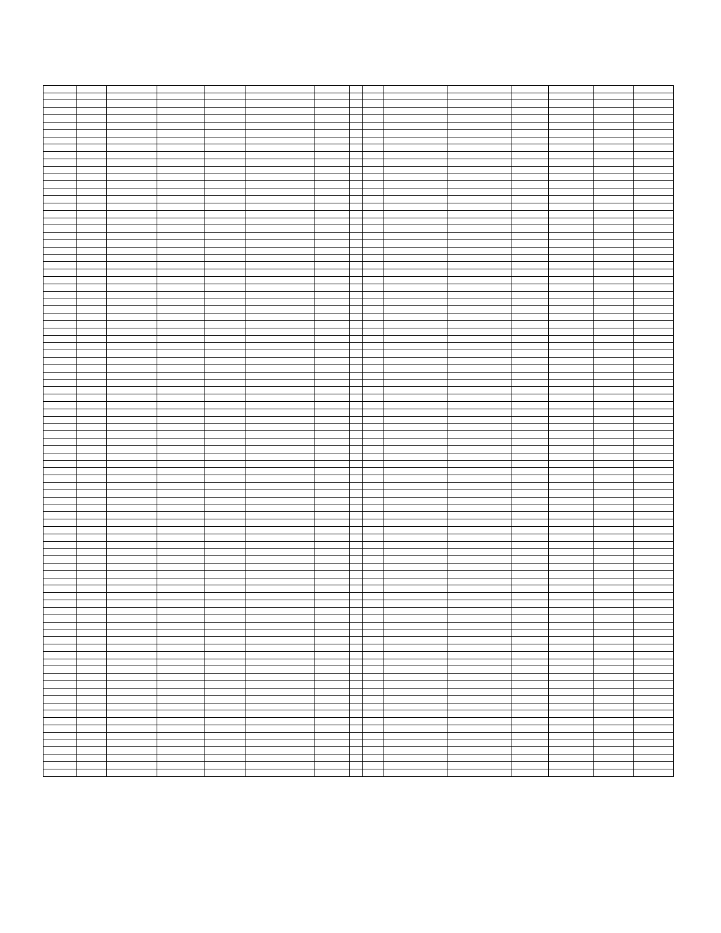|   |  |  |  | $\quad \, \pm$ |  |  |                         |                            |
|---|--|--|--|----------------|--|--|-------------------------|----------------------------|
|   |  |  |  |                |  |  |                         |                            |
|   |  |  |  |                |  |  |                         |                            |
|   |  |  |  |                |  |  |                         |                            |
| Г |  |  |  |                |  |  | the control of the con- | and the state of the state |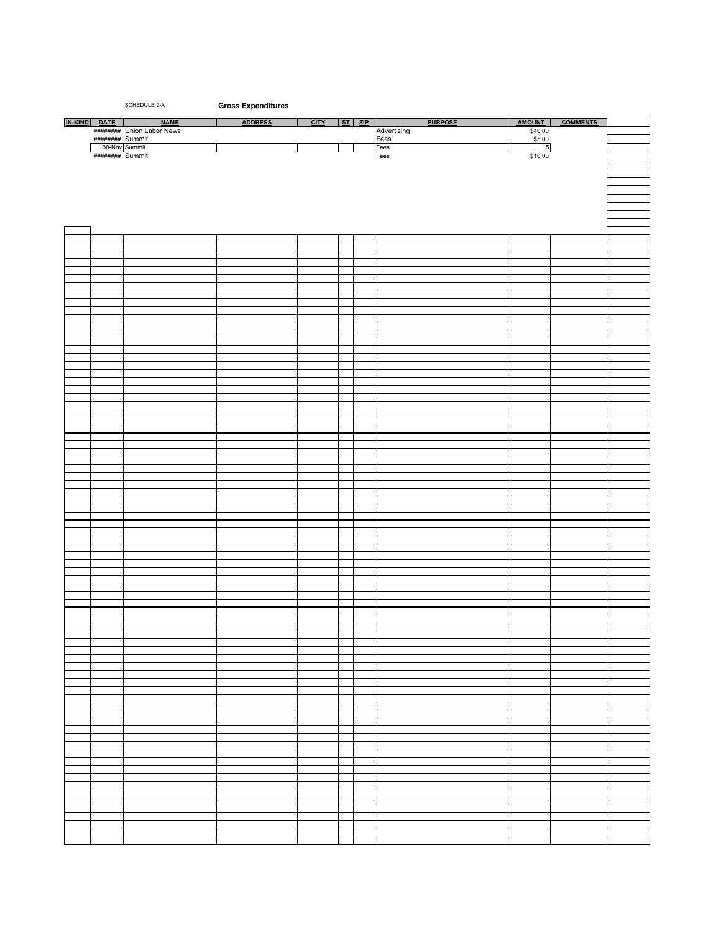|                     | SCHEDULE 2-A              | <b>Gross Expenditures</b> |             |            |                     |                           |                 |  |
|---------------------|---------------------------|---------------------------|-------------|------------|---------------------|---------------------------|-----------------|--|
| <u>IN-KIND DATE</u> | <b>NAME</b>               | <b>ADDRESS</b>            | <b>CITY</b> | $ST$ $ZIP$ | <b>PURPOSE</b>      | <b>AMOUNT</b>             | <b>COMMENTS</b> |  |
|                     | ######## Union Labor News |                           |             |            |                     | \$40.00                   |                 |  |
| ######## Summit     |                           |                           |             |            | Advertising<br>Fees | \$5.00                    |                 |  |
| 30-Nov Summit       |                           |                           |             |            | Fees<br>Fees        | $\overline{5}$<br>\$10.00 |                 |  |
|                     |                           |                           |             |            |                     |                           |                 |  |
|                     |                           |                           |             |            |                     |                           |                 |  |
|                     |                           |                           |             |            |                     |                           |                 |  |
|                     |                           |                           |             |            |                     |                           |                 |  |
|                     |                           |                           |             |            |                     |                           |                 |  |
|                     |                           |                           |             |            |                     |                           |                 |  |
|                     |                           |                           |             |            |                     |                           |                 |  |
|                     |                           |                           |             |            |                     |                           |                 |  |
|                     |                           |                           |             |            |                     |                           |                 |  |
|                     |                           |                           |             |            |                     |                           |                 |  |
|                     |                           |                           |             |            |                     |                           |                 |  |
|                     |                           |                           |             |            |                     |                           |                 |  |
|                     |                           |                           |             |            |                     |                           |                 |  |
|                     |                           |                           |             |            |                     |                           |                 |  |
|                     |                           |                           |             |            |                     |                           |                 |  |
|                     |                           |                           |             |            |                     |                           |                 |  |
|                     |                           |                           |             |            |                     |                           |                 |  |
|                     |                           |                           |             |            |                     |                           |                 |  |
|                     |                           |                           |             |            |                     |                           |                 |  |
|                     |                           |                           |             |            |                     |                           |                 |  |
|                     |                           |                           |             |            |                     |                           |                 |  |
|                     |                           |                           |             |            |                     |                           |                 |  |
|                     |                           |                           |             |            |                     |                           |                 |  |
|                     |                           |                           |             |            |                     |                           |                 |  |
|                     |                           |                           |             |            |                     |                           |                 |  |
|                     |                           |                           |             |            |                     |                           |                 |  |
|                     |                           |                           |             |            |                     |                           |                 |  |
|                     |                           |                           |             |            |                     |                           |                 |  |
|                     |                           |                           |             |            |                     |                           |                 |  |
|                     |                           |                           |             |            |                     |                           |                 |  |
|                     |                           |                           |             |            |                     |                           |                 |  |
|                     |                           |                           |             |            |                     |                           |                 |  |
|                     |                           |                           |             |            |                     |                           |                 |  |
|                     |                           |                           |             |            |                     |                           |                 |  |
|                     |                           |                           |             |            |                     |                           |                 |  |
|                     |                           |                           |             |            |                     |                           |                 |  |
|                     |                           |                           |             |            |                     |                           |                 |  |
|                     |                           |                           |             |            |                     |                           |                 |  |
|                     |                           |                           |             |            |                     |                           |                 |  |
|                     |                           |                           |             |            |                     |                           |                 |  |
|                     |                           |                           |             |            |                     |                           |                 |  |
|                     |                           |                           |             |            |                     |                           |                 |  |
|                     |                           |                           |             |            |                     |                           |                 |  |
|                     |                           |                           |             |            |                     |                           |                 |  |
|                     |                           |                           |             |            |                     |                           |                 |  |
|                     |                           |                           |             |            |                     |                           |                 |  |
|                     |                           |                           |             |            |                     |                           |                 |  |
|                     |                           |                           |             |            |                     |                           |                 |  |
|                     |                           |                           |             |            |                     |                           |                 |  |
|                     |                           |                           |             |            |                     |                           |                 |  |
|                     |                           |                           |             |            |                     |                           |                 |  |
|                     |                           |                           |             |            |                     |                           |                 |  |
|                     |                           |                           |             |            |                     |                           |                 |  |
|                     |                           |                           |             |            |                     |                           |                 |  |
|                     |                           |                           |             |            |                     |                           |                 |  |
|                     |                           |                           |             |            |                     |                           |                 |  |
|                     |                           |                           |             |            |                     |                           |                 |  |
|                     |                           |                           |             |            |                     |                           |                 |  |
|                     |                           |                           |             |            |                     |                           |                 |  |
|                     |                           |                           |             |            |                     |                           |                 |  |
|                     |                           |                           |             |            |                     |                           |                 |  |
|                     |                           |                           |             |            |                     |                           |                 |  |
|                     |                           |                           |             |            |                     |                           |                 |  |
|                     |                           |                           |             |            |                     |                           |                 |  |
|                     |                           |                           |             |            |                     |                           |                 |  |
|                     |                           |                           |             |            |                     |                           |                 |  |
|                     |                           |                           |             |            |                     |                           |                 |  |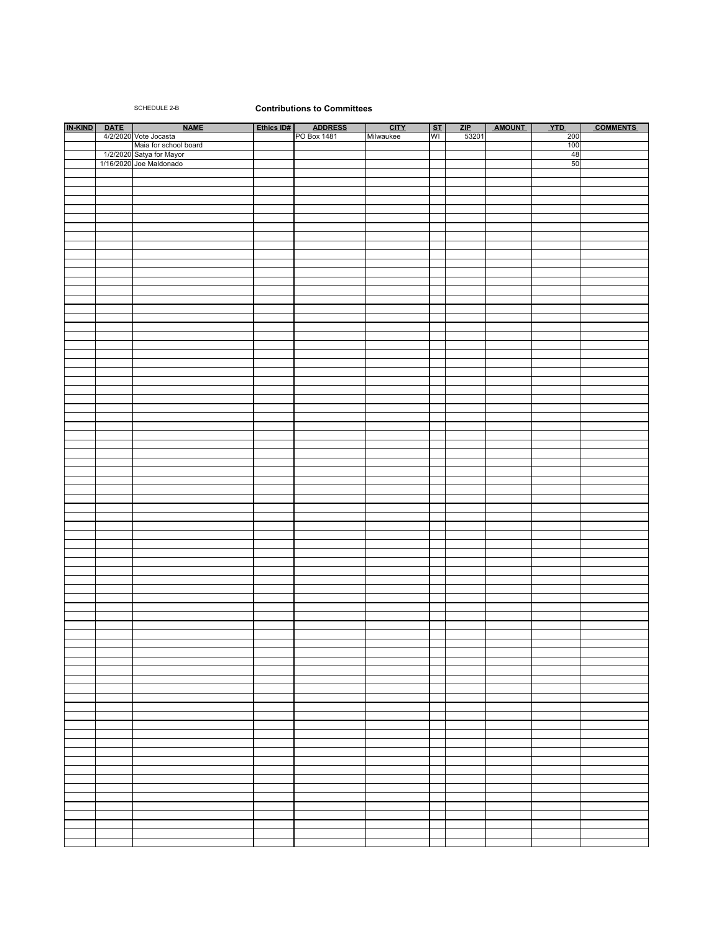## SCHEDULE 2-B **Contributions to Committees**

| $IN-KIND$ | <b>DATE</b> | <b>NAME</b>                                                                  | Ethics ID# ADDRESS<br>PO Box 1481 | <b>CITY</b>                                                                                                          |                             | $\frac{\text{ZIP}}{53201}$ | <b>AMOUNT</b> | <b>YTD</b> | <b>COMMENTS</b> |
|-----------|-------------|------------------------------------------------------------------------------|-----------------------------------|----------------------------------------------------------------------------------------------------------------------|-----------------------------|----------------------------|---------------|------------|-----------------|
|           |             | 4/2/2020 Vote Jocasta                                                        |                                   | Milwaukee                                                                                                            | $rac{\text{ST}}{\text{WI}}$ |                            |               | 200        |                 |
|           |             |                                                                              |                                   |                                                                                                                      |                             |                            |               | 100        |                 |
|           |             | Maia for school board<br>1/2/2020 Satya for Mayor<br>1/16/2020 Joe Maldonado |                                   |                                                                                                                      |                             |                            |               | 48         |                 |
|           |             |                                                                              |                                   |                                                                                                                      |                             |                            |               | 50         |                 |
|           |             |                                                                              |                                   |                                                                                                                      |                             |                            |               |            |                 |
|           |             |                                                                              |                                   |                                                                                                                      |                             |                            |               |            |                 |
|           |             |                                                                              |                                   |                                                                                                                      |                             |                            |               |            |                 |
|           |             |                                                                              |                                   |                                                                                                                      |                             |                            |               |            |                 |
|           |             |                                                                              |                                   |                                                                                                                      |                             |                            |               |            |                 |
|           |             |                                                                              |                                   |                                                                                                                      |                             |                            |               |            |                 |
|           |             |                                                                              |                                   |                                                                                                                      |                             |                            |               |            |                 |
|           |             |                                                                              |                                   |                                                                                                                      |                             |                            |               |            |                 |
|           |             |                                                                              |                                   |                                                                                                                      |                             |                            |               |            |                 |
|           |             |                                                                              |                                   |                                                                                                                      |                             |                            |               |            |                 |
|           |             |                                                                              |                                   |                                                                                                                      |                             |                            |               |            |                 |
|           |             |                                                                              |                                   |                                                                                                                      |                             |                            |               |            |                 |
|           |             |                                                                              |                                   |                                                                                                                      |                             |                            |               |            |                 |
|           |             |                                                                              |                                   |                                                                                                                      |                             |                            |               |            |                 |
|           |             |                                                                              |                                   |                                                                                                                      |                             |                            |               |            |                 |
|           |             |                                                                              |                                   |                                                                                                                      |                             |                            |               |            |                 |
|           |             |                                                                              |                                   |                                                                                                                      |                             |                            |               |            |                 |
|           |             |                                                                              |                                   |                                                                                                                      |                             |                            |               |            |                 |
|           |             |                                                                              |                                   |                                                                                                                      |                             |                            |               |            |                 |
|           |             |                                                                              |                                   |                                                                                                                      |                             |                            |               |            |                 |
|           |             |                                                                              |                                   |                                                                                                                      |                             |                            |               |            |                 |
|           |             |                                                                              |                                   |                                                                                                                      |                             |                            |               |            |                 |
|           |             |                                                                              |                                   |                                                                                                                      |                             |                            |               |            |                 |
|           |             |                                                                              |                                   |                                                                                                                      |                             |                            |               |            |                 |
|           |             |                                                                              |                                   |                                                                                                                      |                             |                            |               |            |                 |
|           |             |                                                                              |                                   |                                                                                                                      |                             |                            |               |            |                 |
|           |             |                                                                              |                                   |                                                                                                                      |                             |                            |               |            |                 |
|           |             |                                                                              |                                   |                                                                                                                      |                             |                            |               |            |                 |
|           |             |                                                                              |                                   |                                                                                                                      |                             |                            |               |            |                 |
|           |             |                                                                              |                                   |                                                                                                                      |                             |                            |               |            |                 |
|           |             |                                                                              |                                   |                                                                                                                      |                             |                            |               |            |                 |
|           |             |                                                                              |                                   |                                                                                                                      |                             |                            |               |            |                 |
|           |             |                                                                              |                                   |                                                                                                                      |                             |                            |               |            |                 |
|           |             |                                                                              |                                   |                                                                                                                      |                             |                            |               |            |                 |
|           |             |                                                                              |                                   |                                                                                                                      |                             |                            |               |            |                 |
|           |             |                                                                              |                                   |                                                                                                                      |                             |                            |               |            |                 |
|           |             |                                                                              |                                   |                                                                                                                      |                             |                            |               |            |                 |
|           |             |                                                                              |                                   |                                                                                                                      |                             |                            |               |            |                 |
|           |             |                                                                              |                                   |                                                                                                                      |                             |                            |               |            |                 |
|           |             |                                                                              |                                   |                                                                                                                      |                             |                            |               |            |                 |
|           |             |                                                                              |                                   |                                                                                                                      |                             |                            |               |            |                 |
|           |             |                                                                              |                                   |                                                                                                                      |                             |                            |               |            |                 |
|           |             |                                                                              |                                   |                                                                                                                      |                             |                            |               |            |                 |
|           |             |                                                                              |                                   |                                                                                                                      |                             |                            |               |            |                 |
|           |             |                                                                              |                                   |                                                                                                                      |                             |                            |               |            |                 |
|           |             |                                                                              |                                   |                                                                                                                      |                             |                            |               |            |                 |
|           |             |                                                                              |                                   |                                                                                                                      |                             |                            |               |            |                 |
|           |             |                                                                              |                                   |                                                                                                                      |                             |                            |               |            |                 |
|           |             |                                                                              |                                   |                                                                                                                      |                             |                            |               |            |                 |
|           |             |                                                                              |                                   |                                                                                                                      |                             |                            |               |            |                 |
|           |             |                                                                              |                                   |                                                                                                                      |                             |                            |               |            |                 |
|           |             |                                                                              |                                   |                                                                                                                      |                             |                            |               |            |                 |
|           |             |                                                                              |                                   |                                                                                                                      |                             |                            |               |            |                 |
|           |             |                                                                              |                                   |                                                                                                                      |                             |                            |               |            |                 |
|           |             |                                                                              |                                   |                                                                                                                      |                             |                            |               |            |                 |
|           |             |                                                                              |                                   |                                                                                                                      |                             |                            |               |            |                 |
|           |             |                                                                              |                                   |                                                                                                                      |                             |                            |               |            |                 |
|           |             |                                                                              |                                   |                                                                                                                      |                             |                            |               |            |                 |
|           |             |                                                                              |                                   |                                                                                                                      |                             |                            |               |            |                 |
|           |             |                                                                              |                                   |                                                                                                                      |                             |                            |               |            |                 |
|           |             |                                                                              |                                   |                                                                                                                      |                             |                            |               |            |                 |
|           |             |                                                                              |                                   |                                                                                                                      |                             |                            |               |            |                 |
|           |             |                                                                              |                                   |                                                                                                                      |                             |                            |               |            |                 |
|           |             |                                                                              |                                   |                                                                                                                      |                             |                            |               |            |                 |
|           |             |                                                                              |                                   |                                                                                                                      |                             |                            |               |            |                 |
|           |             |                                                                              |                                   |                                                                                                                      |                             |                            |               |            |                 |
|           |             |                                                                              |                                   |                                                                                                                      |                             |                            |               |            |                 |
|           |             |                                                                              |                                   |                                                                                                                      |                             |                            |               |            |                 |
|           |             |                                                                              |                                   |                                                                                                                      |                             |                            |               |            |                 |
|           |             |                                                                              |                                   |                                                                                                                      |                             |                            |               |            |                 |
|           |             |                                                                              |                                   |                                                                                                                      |                             |                            |               |            |                 |
|           |             |                                                                              |                                   |                                                                                                                      |                             |                            |               |            |                 |
|           |             |                                                                              |                                   |                                                                                                                      |                             |                            |               |            |                 |
|           |             |                                                                              |                                   |                                                                                                                      |                             |                            |               |            |                 |
|           |             |                                                                              |                                   |                                                                                                                      |                             |                            |               |            |                 |
|           |             |                                                                              |                                   | <u> 1999 - Jan James James Jan James James James James James James James James James James James James James Jam</u> |                             |                            |               |            |                 |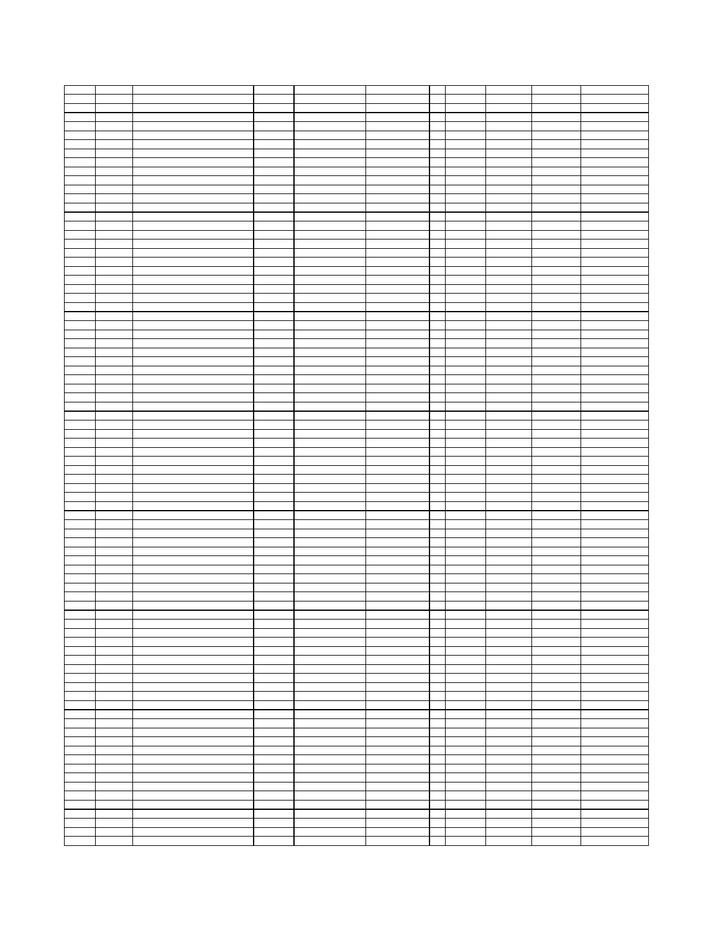|  | <del>╴╎╴╴╴╴╶╶╎╴╶╎╴╌┈╎╴╴╴╎╎╌╶╎╎╌╶</del> ┼╌╌┼╌ |  |  |  |  |
|--|----------------------------------------------|--|--|--|--|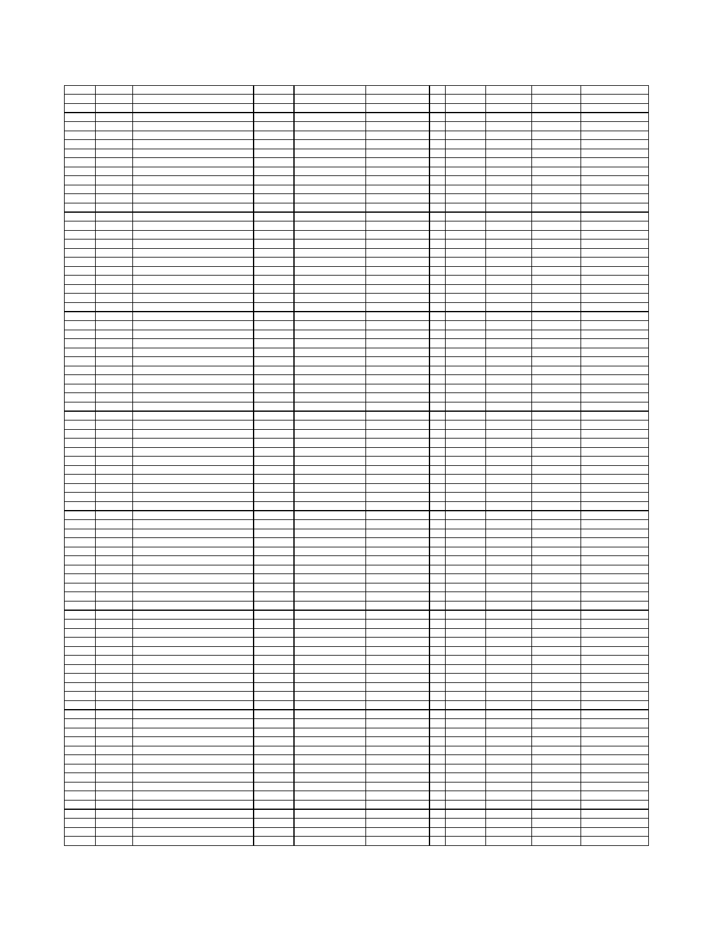|  | <del>╴╎╴╴╴╴╶╶╎╴╶╎╴╌┈╎╴╴╴╎╎╌╶╎╎╌╶</del> ┼╌╌┼╌ |  |  |  |  |
|--|----------------------------------------------|--|--|--|--|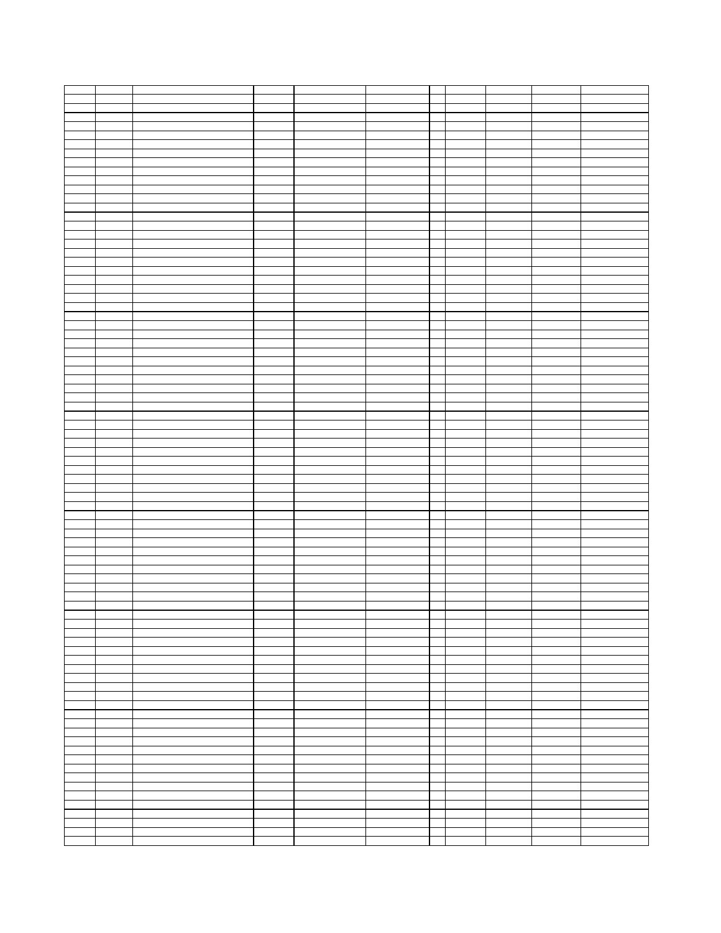|  | <del>╴╎╴╴╴╴╶╶╎╴╶╎╴╌┈╎╴╴╴╎╎╌╶╎╎╌╶</del> ┼╌╌┼╌ |  |  |  |  |
|--|----------------------------------------------|--|--|--|--|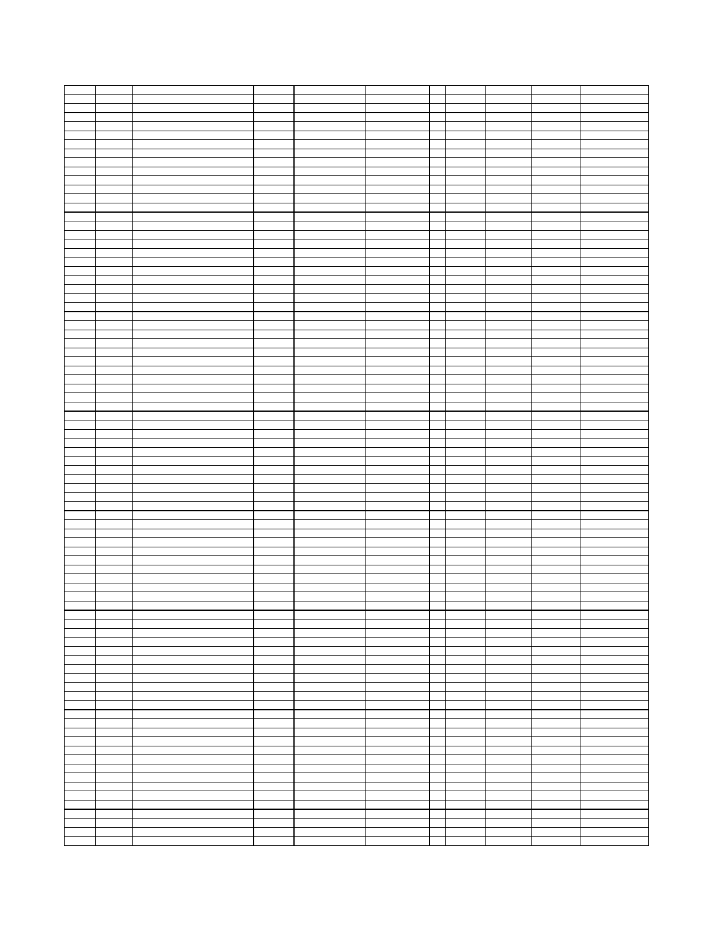|  | <del>╴╎╴╴╴╴╶╶╎╴╶╎╴╌┈╎╴╴╴╎╎╌╶╎╎╌╶</del> ┼╌╌┼╌ |  |  |  |  |
|--|----------------------------------------------|--|--|--|--|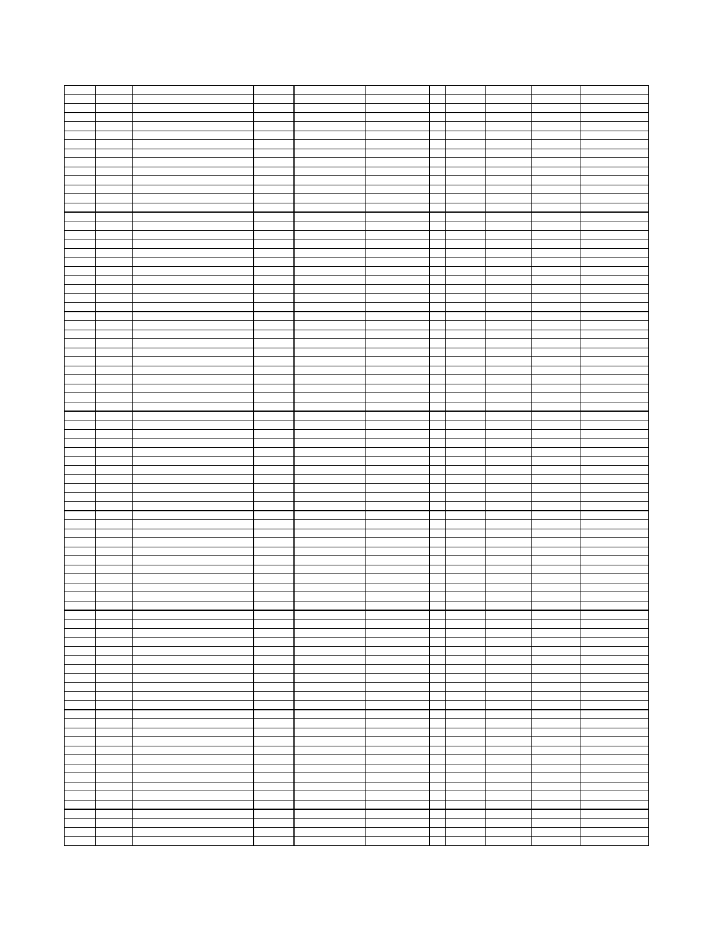|  | <del>╴╎╴╴╴╴╶╶╎╴╶╎╴╌┈╎╴╴╴╎╎╌╶╎╎╌╶</del> ┼╌╌┼╌ |  |  |  |  |
|--|----------------------------------------------|--|--|--|--|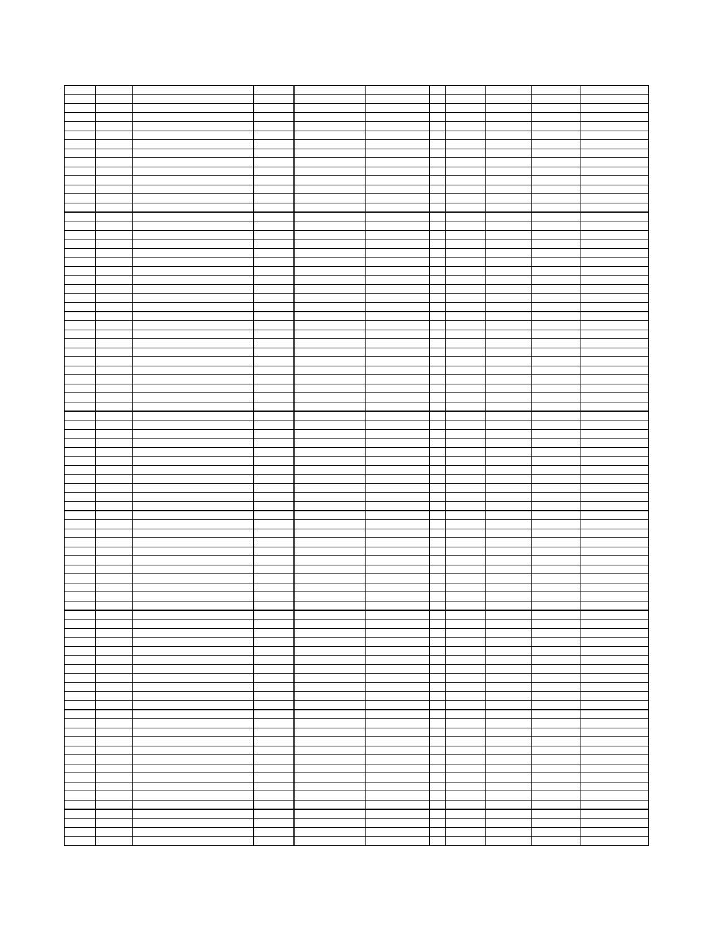|  | <del>╴╎╴╴╴╴╶╶╎╴╶╎╴╌┈╎╴╴╴╎╎╌╶╎╎╌╶</del> ┼╌╌┼╌ |  |  |  |  |
|--|----------------------------------------------|--|--|--|--|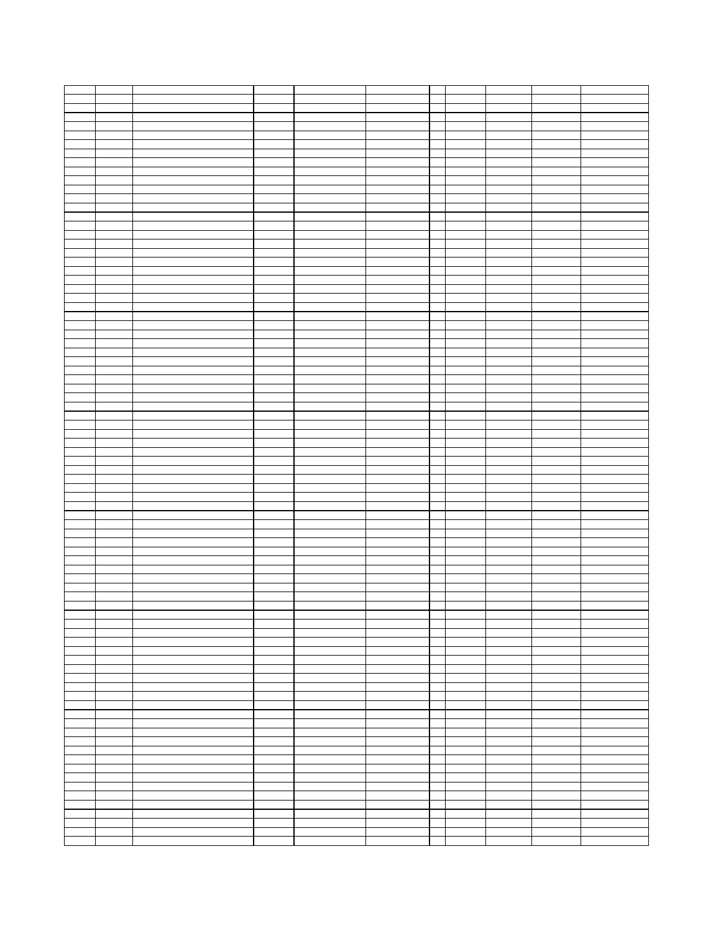|  | <del>╴╎╴╴╴╴╶╶╎╴╶╎╴╌┈╎╴╴╴╎╎╌╶╎╎╌╶</del> ┼╌╌┼╌ |  |  |  |  |
|--|----------------------------------------------|--|--|--|--|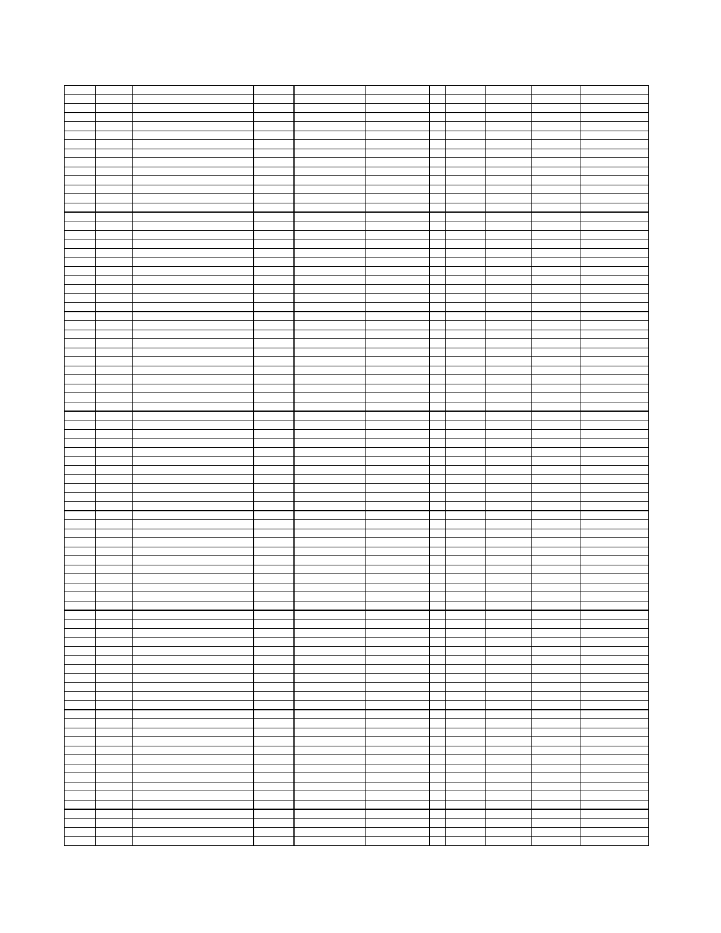|  | <del>╴╎╴╴╴╴╶╶╎╴╶╎╴╌┈╎╴╴╴╎╎╌╶╎╎╌╶</del> ┼╌╌┼╌ |  |  |  |  |
|--|----------------------------------------------|--|--|--|--|